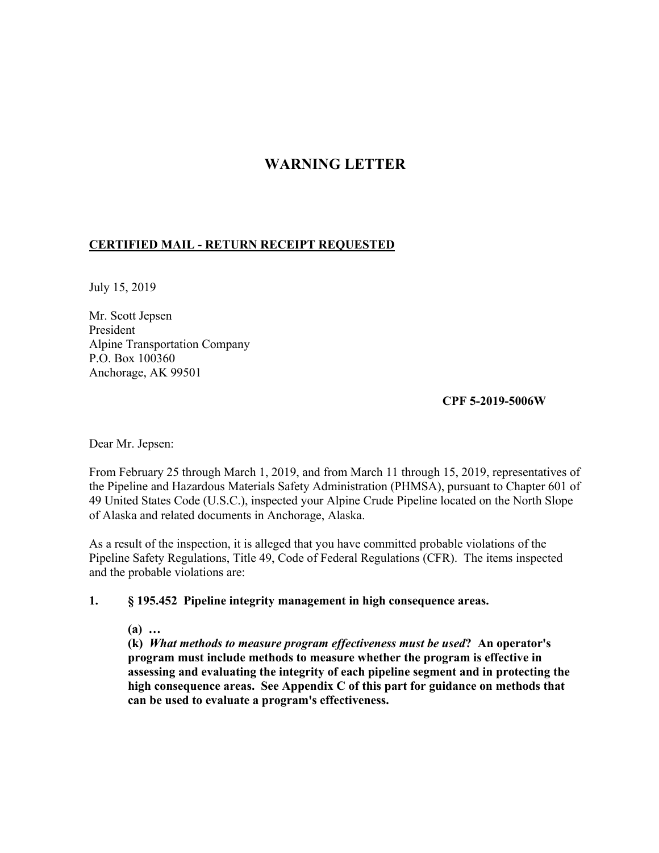## **WARNING LETTER**

## **CERTIFIED MAIL - RETURN RECEIPT REQUESTED**

July 15, 2019

Mr. Scott Jepsen President Alpine Transportation Company P.O. Box 100360 Anchorage, AK 99501

**CPF 5-2019-5006W**

Dear Mr. Jepsen:

From February 25 through March 1, 2019, and from March 11 through 15, 2019, representatives of the Pipeline and Hazardous Materials Safety Administration (PHMSA), pursuant to Chapter 601 of 49 United States Code (U.S.C.), inspected your Alpine Crude Pipeline located on the North Slope of Alaska and related documents in Anchorage, Alaska.

As a result of the inspection, it is alleged that you have committed probable violations of the Pipeline Safety Regulations, Title 49, Code of Federal Regulations (CFR). The items inspected and the probable violations are:

## **1. § 195.452 Pipeline integrity management in high consequence areas.**

**(a) …**

 **(k)** *What methods to measure program effectiveness must be used***? An operator's program must include methods to measure whether the program is effective in assessing and evaluating the integrity of each pipeline segment and in protecting the high consequence areas. See Appendix C of this part for guidance on methods that can be used to evaluate a program's effectiveness.**